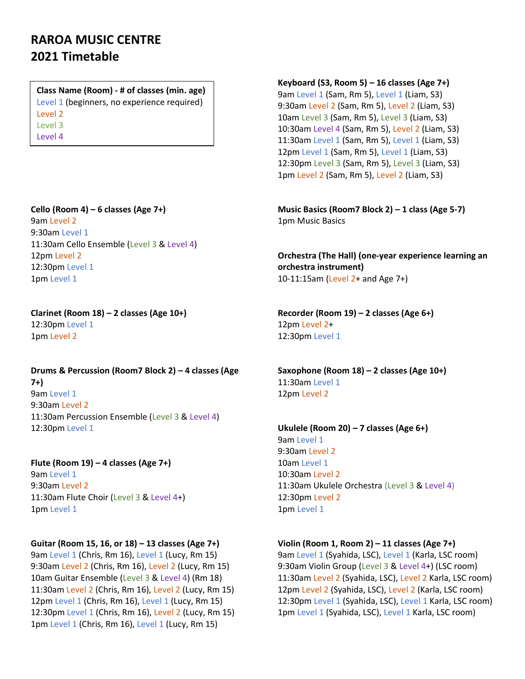# **RAROA MUSIC CENTRE 2021 Timetable**

**Class Name (Room) - # of classes (min. age)** Level 1 (beginners, no experience required) Level 2 Level 3 Level 4

**Cello (Room 4) – 6 classes (Age 7+)** 9am Level 2 9:30am Level 1 11:30am Cello Ensemble (Level 3 & Level 4) 12pm Level 2 12:30pm Level 1 1pm Level 1

**Clarinet (Room 18) – 2 classes (Age 10+)** 12:30pm Level 1

1pm Level 2

**Drums & Percussion (Room7 Block 2) – 4 classes (Age 7+)**

9am Level 1 9:30am Level 2 11:30am Percussion Ensemble (Level 3 & Level 4) 12:30pm Level 1

**Flute (Room 19) – 4 classes (Age 7+)** 9am Level 1 9:30am Level 2 11:30am Flute Choir (Level 3 & Level 4+) 1pm Level 1

#### **Guitar (Room 15, 16, or 18) – 13 classes (Age 7+)**

9am Level 1 (Chris, Rm 16), Level 1 (Lucy, Rm 15) 9:30am Level 2 (Chris, Rm 16), Level 2 (Lucy, Rm 15) 10am Guitar Ensemble (Level 3 & Level 4) (Rm 18) 11:30am Level 2 (Chris, Rm 16), Level 2 (Lucy, Rm 15) 12pm Level 1 (Chris, Rm 16), Level 1 (Lucy, Rm 15) 12:30pm Level 1 (Chris, Rm 16), Level 2 (Lucy, Rm 15) 1pm Level 1 (Chris, Rm 16), Level 1 (Lucy, Rm 15)

**Keyboard (S3, Room 5) – 16 classes (Age 7+)**

9am Level 1 (Sam, Rm 5), Level 1 (Liam, S3) 9:30am Level 2 (Sam, Rm 5), Level 2 (Liam, S3) 10am Level 3 (Sam, Rm 5), Level 3 (Liam, S3) 10:30am Level 4 (Sam, Rm 5), Level 2 (Liam, S3) 11:30am Level 1 (Sam, Rm 5), Level 1 (Liam, S3) 12pm Level 1 (Sam, Rm 5), Level 1 (Liam, S3) 12:30pm Level 3 (Sam, Rm 5), Level 3 (Liam, S3) 1pm Level 2 (Sam, Rm 5), Level 2 (Liam, S3)

**Music Basics (Room7 Block 2) – 1 class (Age 5-7)** 1pm Music Basics

**Orchestra (The Hall) (one-year experience learning an orchestra instrument)** 10-11:15am (Level 2+ and Age 7+)

**Recorder (Room 19) – 2 classes (Age 6+)** 12pm Level 2+ 12:30pm Level 1

**Saxophone (Room 18) – 2 classes (Age 10+)** 11:30am Level 1 12pm Level 2

**Ukulele (Room 20) – 7 classes (Age 6+)** 9am Level 1 9:30am Level 2 10am Level 1 10:30am Level 2 11:30am Ukulele Orchestra (Level 3 & Level 4) 12:30pm Level 2 1pm Level 1

#### **Violin (Room 1, Room 2) – 11 classes (Age 7+)**

9am Level 1 (Syahida, LSC), Level 1 (Karla, LSC room) 9:30am Violin Group (Level 3 & Level 4+) (LSC room) 11:30am Level 2 (Syahida, LSC), Level 2 Karla, LSC room) 12pm Level 2 (Syahida, LSC), Level 2 (Karla, LSC room) 12:30pm Level 1 (Syahida, LSC), Level 1 Karla, LSC room) 1pm Level 1 (Syahida, LSC), Level 1 Karla, LSC room)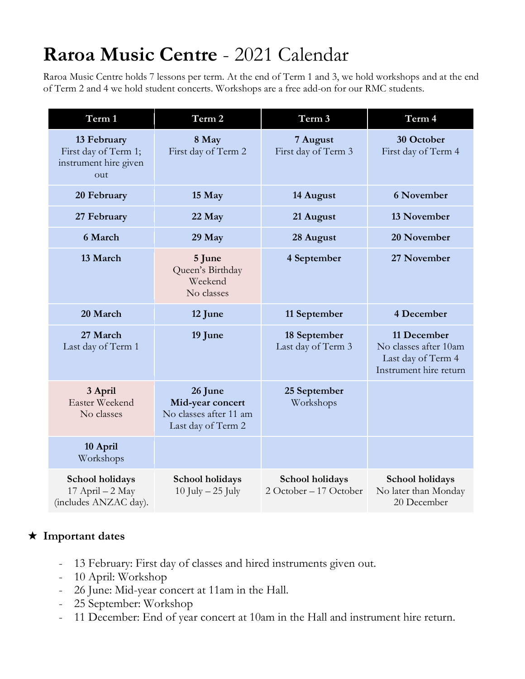# **Raroa Music Centre** - 2021 Calendar

Raroa Music Centre holds 7 lessons per term. At the end of Term 1 and 3, we hold workshops and at the end of Term 2 and 4 we hold student concerts. Workshops are a free add-on for our RMC students.

| Term 1                                                              | Term 2                                                                      | Term 3                                    | Term 4                                                                               |
|---------------------------------------------------------------------|-----------------------------------------------------------------------------|-------------------------------------------|--------------------------------------------------------------------------------------|
| 13 February<br>First day of Term 1;<br>instrument hire given<br>out | 8 May<br>First day of Term 2                                                | 7 August<br>First day of Term 3           | 30 October<br>First day of Term 4                                                    |
| 20 February                                                         | 15 May                                                                      | 14 August                                 | <b>6 November</b>                                                                    |
| 27 February                                                         | 22 May                                                                      | 21 August                                 | 13 November                                                                          |
| 6 March                                                             | 29 May                                                                      | 28 August                                 | 20 November                                                                          |
| 13 March                                                            | 5 June<br>Queen's Birthday<br>Weekend<br>No classes                         | 4 September                               | 27 November                                                                          |
| 20 March                                                            | 12 June                                                                     | 11 September                              | 4 December                                                                           |
| 27 March<br>Last day of Term 1                                      | 19 June                                                                     | 18 September<br>Last day of Term 3        | 11 December<br>No classes after 10am<br>Last day of Term 4<br>Instrument hire return |
| 3 April<br>Easter Weekend<br>No classes                             | 26 June<br>Mid-year concert<br>No classes after 11 am<br>Last day of Term 2 | 25 September<br>Workshops                 |                                                                                      |
| 10 April<br>Workshops                                               |                                                                             |                                           |                                                                                      |
| School holidays<br>17 April - 2 May<br>(includes ANZAC day).        | School holidays<br>10 July $-25$ July                                       | School holidays<br>2 October - 17 October | School holidays<br>No later than Monday<br>20 December                               |

# ★ **Important dates**

- 13 February: First day of classes and hired instruments given out.
- 10 April: Workshop
- 26 June: Mid-year concert at 11am in the Hall.
- 25 September: Workshop
- 11 December: End of year concert at 10am in the Hall and instrument hire return.